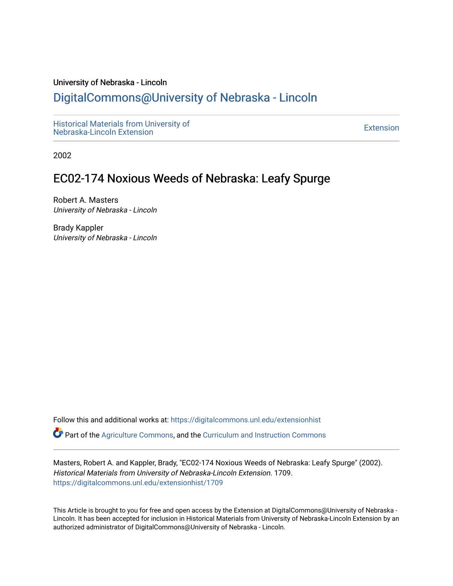### University of Nebraska - Lincoln

### [DigitalCommons@University of Nebraska - Lincoln](https://digitalcommons.unl.edu/)

[Historical Materials from University of](https://digitalcommons.unl.edu/extensionhist)  nistorical Materials from Oniversity of the control of the control of the [Extension](https://digitalcommons.unl.edu/coop_extension) Extension extension of the<br>Nebraska-Lincoln Extension

2002

### EC02-174 Noxious Weeds of Nebraska: Leafy Spurge

Robert A. Masters University of Nebraska - Lincoln

Brady Kappler University of Nebraska - Lincoln

Follow this and additional works at: [https://digitalcommons.unl.edu/extensionhist](https://digitalcommons.unl.edu/extensionhist?utm_source=digitalcommons.unl.edu%2Fextensionhist%2F1709&utm_medium=PDF&utm_campaign=PDFCoverPages) 

Part of the [Agriculture Commons](http://network.bepress.com/hgg/discipline/1076?utm_source=digitalcommons.unl.edu%2Fextensionhist%2F1709&utm_medium=PDF&utm_campaign=PDFCoverPages), and the [Curriculum and Instruction Commons](http://network.bepress.com/hgg/discipline/786?utm_source=digitalcommons.unl.edu%2Fextensionhist%2F1709&utm_medium=PDF&utm_campaign=PDFCoverPages) 

Masters, Robert A. and Kappler, Brady, "EC02-174 Noxious Weeds of Nebraska: Leafy Spurge" (2002). Historical Materials from University of Nebraska-Lincoln Extension. 1709. [https://digitalcommons.unl.edu/extensionhist/1709](https://digitalcommons.unl.edu/extensionhist/1709?utm_source=digitalcommons.unl.edu%2Fextensionhist%2F1709&utm_medium=PDF&utm_campaign=PDFCoverPages) 

This Article is brought to you for free and open access by the Extension at DigitalCommons@University of Nebraska - Lincoln. It has been accepted for inclusion in Historical Materials from University of Nebraska-Lincoln Extension by an authorized administrator of DigitalCommons@University of Nebraska - Lincoln.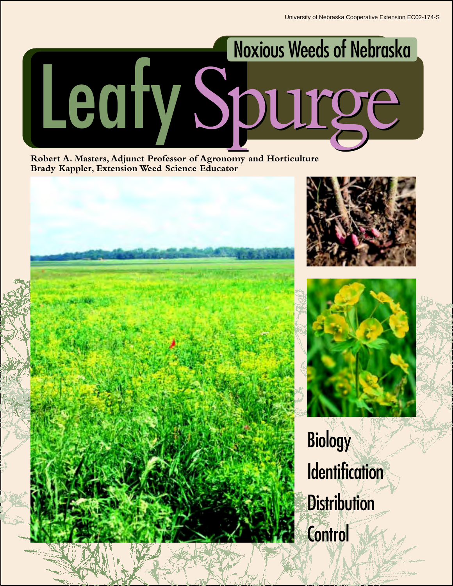

**Robert A. Masters, Adjunct Professor of Agronomy and Horticulture Brady Kappler, Extension Weed Science Educator**





**Biology Identification Distribution Control**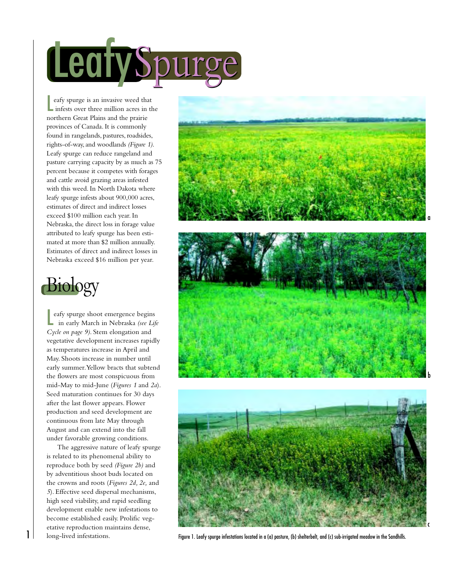

eafy spurge is an invasive weed the infests over three million acres in northern Great Plains and the prairie eafy spurge is an invasive weed that infests over three million acres in the provinces of Canada. It is commonly found in rangelands, pastures, roadsides, rights-of-way, and woodlands *(Figure 1)*. Leafy spurge can reduce rangeland and pasture carrying capacity by as much as 75 percent because it competes with forages and cattle avoid grazing areas infested with this weed. In North Dakota where leafy spurge infests about 900,000 acres, estimates of direct and indirect losses exceed \$100 million each year. In Nebraska, the direct loss in forage value attributed to leafy spurge has been estimated at more than \$2 million annually. Estimates of direct and indirect losses in Nebraska exceed \$16 million per year.



eafy spurge shoot emergence begins<br>in early March in Nebraska *(see Life* eafy spurge shoot emergence begins *Cycle on page 9)*. Stem elongation and vegetative development increases rapidly as temperatures increase in April and May. Shoots increase in number until early summer. Yellow bracts that subtend the flowers are most conspicuous from mid-May to mid-June (*Figures 1* and *2a*). Seed maturation continues for 30 days after the last flower appears. Flower production and seed development are continuous from late May through August and can extend into the fall under favorable growing conditions.

The aggressive nature of leafy spurge is related to its phenomenal ability to reproduce both by seed *(Figure 2b)* and by adventitious shoot buds located on the crowns and roots (*Figures 2d, 2e,* and *5*). Effective seed dispersal mechanisms, high seed viability, and rapid seedling development enable new infestations to become established easily. Prolific vegetative reproduction maintains dense, long-lived infestations.



Figure 1. Leafy spurge infestations located in a (a) pasture, (b) shelterbelt, and (c) sub-irrigated meadow in the Sandhills.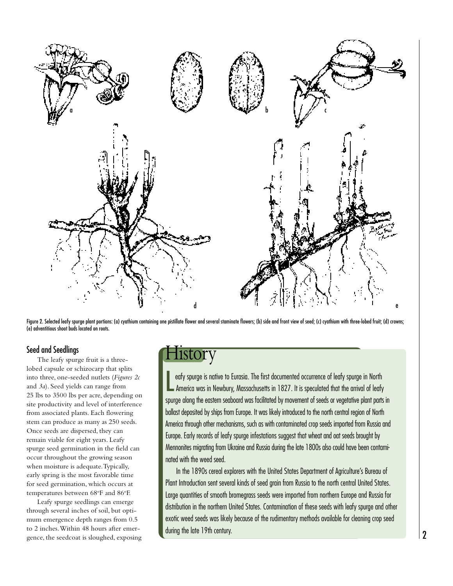

Figure 2. Selected leafy spurge plant portions: (a) cyathium containing one pistillate flower and several staminate flowers; (b) side and front view of seed; (c) cyathium with three-lobed fruit; (d) crowns; (e) adventitious shoot buds located on roots.

### Seed and Seedlings

The leafy spurge fruit is a threelobed capsule or schizocarp that splits into three, one-seeded nutlets (*Figures 2c* and *3a*). Seed yields can range from 25 lbs to 3500 lbs per acre, depending on site productivity and level of interference from associated plants. Each flowering stem can produce as many as 250 seeds. Once seeds are dispersed, they can remain viable for eight years. Leafy spurge seed germination in the field can occur throughout the growing season when moisture is adequate. Typically, early spring is the most favorable time for seed germination, which occurs at temperatures between 68°F and 86°F.

Leafy spurge seedlings can emerge through several inches of soil, but optimum emergence depth ranges from 0.5 to 2 inches. Within 48 hours after emergence, the seedcoat is sloughed, exposing

# History

eafy spurge is native to Eurasia. The first documented occurrence of leafy spurge in North<br>America was in Newbury, Massachusetts in 1827. It is speculated that the arrival of leafy eafy spurge is native to Eurasia. The first documented occurrence of leafy spurge in North spurge along the eastern seaboard was facilitated by movement of seeds or vegetative plant parts in ballast deposited by ships from Europe. It was likely introduced to the north central region of North America through other mechanisms, such as with contaminated crop seeds imported from Russia and Europe. Early records of leafy spurge infestations suggest that wheat and oat seeds brought by Mennonites migrating from Ukraine and Russia during the late 1800s also could have been contaminated with the weed seed.

In the 1890s cereal explorers with the United States Department of Agriculture's Bureau of Plant Introduction sent several kinds of seed grain from Russia to the north central United States. Large quantities of smooth bromegrass seeds were imported from northern Europe and Russia for distribution in the northern United States. Contamination of these seeds with leafy spurge and other exotic weed seeds was likely because of the rudimentary methods available for cleaning crop seed during the late 19th century.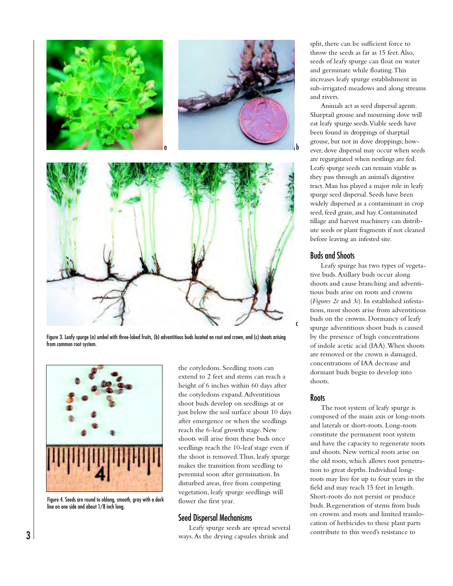

Figure 3. Leafy spurge (a) umbel with three-lobed fruits, (b) adventitious buds located on root and crown, and (c) shoots arising from common root system.



Figure 4. Seeds are round to oblong, smooth, gray with a dark line on one side and about 1/8 inch long.

the cotyledons. Seedling roots can extend to 2 feet and stems can reach a height of 6 inches within 60 days after the cotyledons expand. Adventitious shoot buds develop on seedlings at or just below the soil surface about 10 days after emergence or when the seedlings reach the 6-leaf growth stage. New shoots will arise from these buds once seedlings reach the 10-leaf stage even if the shoot is removed. Thus, leafy spurge makes the transition from seedling to perennial soon after germination. In disturbed areas, free from competing vegetation, leafy spurge seedlings will flower the first year.

### Seed Dispersal Mechanisms

Leafy spurge seeds are spread several ways. As the drying capsules shrink and

split, there can be sufficient force to throw the seeds as far as 15 feet. Also, seeds of leafy spurge can float on water and germinate while floating. This increases leafy spurge establishment in sub-irrigated meadows and along streams and rivers.

Animals act as seed dispersal agents. Sharptail grouse and mourning dove will eat leafy spurge seeds. Viable seeds have been found in droppings of sharptail grouse, but not in dove droppings; however, dove dispersal may occur when seeds are regurgitated when nestlings are fed. Leafy spurge seeds can remain viable as they pass through an animal's digestive tract. Man has played a major role in leafy spurge seed dispersal. Seeds have been widely dispersed as a contaminant in crop seed, feed grain, and hay. Contaminated tillage and harvest machinery can distribute seeds or plant fragments if not cleaned before leaving an infested site.

### Buds and Shoots

Leafy spurge has two types of vegetative buds. Axillary buds occur along shoots and cause branching and adventitious buds arise on roots and crowns (*Figures 2e* and *3c*). In established infestations, most shoots arise from adventitious buds on the crowns. Dormancy of leafy spurge adventitious shoot buds is caused by the presence of high concentrations of indole acetic acid (IAA). When shoots are removed or the crown is damaged, concentrations of IAA decrease and dormant buds begin to develop into shoots.

#### **Roots**

The root system of leafy spurge is composed of the main axis or long-roots and laterals or short-roots. Long-roots constitute the permanent root system and have the capacity to regenerate roots and shoots. New vertical roots arise on the old roots, which allows root penetration to great depths. Individual longroots may live for up to four years in the field and may reach 15 feet in length. Short-roots do not persist or produce buds. Regeneration of stems from buds on crowns and roots and limited translocation of herbicides to these plant parts contribute to this weed's resistance to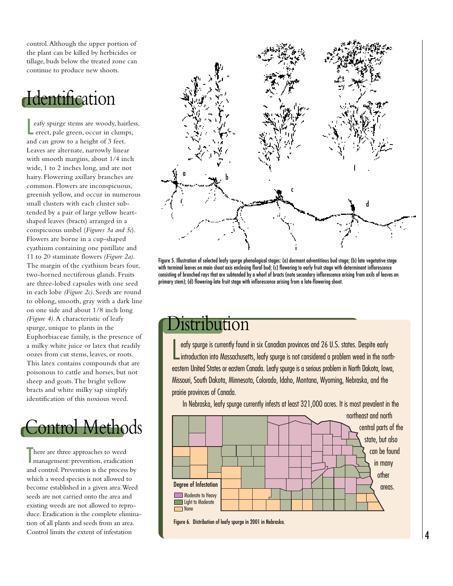control. Although the upper portion of the plant can be killed by herbicides or tillage, buds below the treated zone can continue to produce new shoots.

# dentification

L eafy spurge stems are woody, hairless, erect, pale green, occur in clumps, and can grow to a height of 3 feet. Leaves are alternate, narrowly linear with smooth margins, about 1/4 inch wide, 1 to 2 inches long, and are not hairy. Flowering axillary branches are common. Flowers are inconspicuous, greenish yellow, and occur in numerous small clusters with each cluster subtended by a pair of large yellow heartshaped leaves (bracts) arranged in a conspicuous umbel (*Figures 3a and 5c*). Flowers are borne in a cup-shaped cyathium containing one pistillate and 11 to 20 staminate flowers *(Figure 2a)*. The margin of the cyathium bears four, two-horned nectiferous glands. Fruits are three-lobed capsules with one seed in each lobe *(Figure 2c)*. Seeds are round to oblong, smooth, gray with a dark line on one side and about 1/8 inch long *(Figure 4)*. A characteristic of leafy spurge, unique to plants in the Euphorbiaceae family, is the presence of a milky white juice or latex that readily oozes from cut stems, leaves, or roots. This latex contains compounds that are poisonous to cattle and horses, but not sheep and goats. The bright yellow bracts and white milky sap simplify identification of this noxious weed.



There are three approaches to weed management: prevention, eradication and control. Prevention is the process by which a weed species is not allowed to become established in a given area. Weed seeds are not carried onto the area and existing weeds are not allowed to reproduce. Eradication is the complete elimination of all plants and seeds from an area. Control limits the extent of infestation



Figure 5. Illustration of selected leafy spurge phenological stages: (a) dormant adventitious bud stage; (b) late vegetative stage with terminal leaves on main shoot axis enclosing floral bud; (c) flowering to early fruit stage with determinant inflorescence consisting of branched rays that are subtended by a whorl of bracts (note secondary inflorescence arising from axils of leaves on primary stem); (d) flowering-late fruit stage with inflorescence arising from a late-flowering shoot.

# Distribution

eafy spurge is currently found in six Canadian provinces and 26 U.S. states. Despite early<br>introduction into Massachusetts, leafy spurge is not considered a problem weed in the northeafy spurge is currently found in six Canadian provinces and 26 U.S. states. Despite early eastern United States or eastern Canada. Leafy spurge is a serious problem in North Dakota, Iowa, Missouri, South Dakota, Minnesota, Colorado, Idaho, Montana, Wyoming, Nebraska, and the prairie provinces of Canada.

In Nebraska, leafy spurge currently infests at least 321,000 acres. It is most prevalent in the



Figure 6. Distribution of leafy spurge in 2001 in Nebraska.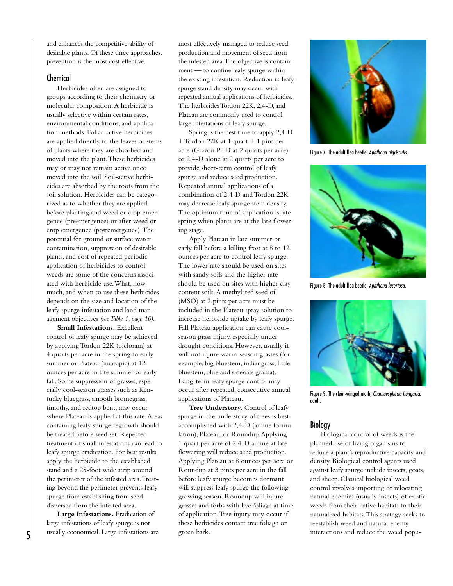and enhances the competitive ability of desirable plants. Of these three approaches, prevention is the most cost effective.

### Chemical

Herbicides often are assigned to groups according to their chemistry or molecular composition. A herbicide is usually selective within certain rates, environmental conditions, and application methods. Foliar-active herbicides are applied directly to the leaves or stems of plants where they are absorbed and moved into the plant. These herbicides may or may not remain active once moved into the soil. Soil-active herbicides are absorbed by the roots from the soil solution. Herbicides can be categorized as to whether they are applied before planting and weed or crop emergence (preemergence) or after weed or crop emergence (postemergence). The potential for ground or surface water contamination, suppression of desirable plants, and cost of repeated periodic application of herbicides to control weeds are some of the concerns associated with herbicide use. What, how much, and when to use these herbicides depends on the size and location of the leafy spurge infestation and land management objectives *(see Table 1, page 10)*.

**Small Infestations.** Excellent control of leafy spurge may be achieved by applying Tordon 22K (picloram) at 4 quarts per acre in the spring to early summer or Plateau (imazapic) at 12 ounces per acre in late summer or early fall. Some suppression of grasses, especially cool-season grasses such as Kentucky bluegrass, smooth bromegrass, timothy, and redtop bent, may occur where Plateau is applied at this rate. Areas containing leafy spurge regrowth should be treated before seed set. Repeated treatment of small infestations can lead to leafy spurge eradication. For best results, apply the herbicide to the established stand and a 25-foot wide strip around the perimeter of the infested area. Treating beyond the perimeter prevents leafy spurge from establishing from seed dispersed from the infested area.

**Large Infestations.** Eradication of large infestations of leafy spurge is not usually economical. Large infestations are most effectively managed to reduce seed production and movement of seed from the infested area. The objective is containment — to confine leafy spurge within the existing infestation. Reduction in leafy spurge stand density may occur with repeated annual applications of herbicides. The herbicides Tordon 22K, 2,4-D, and Plateau are commonly used to control large infestations of leafy spurge.

Spring is the best time to apply 2,4-D + Tordon 22K at 1 quart + 1 pint per acre (Grazon P+D at 2 quarts per acre) or 2,4-D alone at 2 quarts per acre to provide short-term control of leafy spurge and reduce seed production. Repeated annual applications of a combination of 2,4-D and Tordon 22K may decrease leafy spurge stem density. The optimum time of application is late spring when plants are at the late flowering stage.

Apply Plateau in late summer or early fall before a killing frost at 8 to 12 ounces per acre to control leafy spurge. The lower rate should be used on sites with sandy soils and the higher rate should be used on sites with higher clay content soils. A methylated seed oil (MSO) at 2 pints per acre must be included in the Plateau spray solution to increase herbicide uptake by leafy spurge. Fall Plateau application can cause coolseason grass injury, especially under drought conditions. However, usually it will not injure warm-season grasses (for example, big bluestem, indiangrass, little bluestem, blue and sideoats grama). Long-term leafy spurge control may occur after repeated, consecutive annual applications of Plateau.

**Tree Understory.** Control of leafy spurge in the understory of trees is best accomplished with 2,4-D (amine formulation), Plateau, or Roundup. Applying 1 quart per acre of 2,4-D amine at late flowering will reduce seed production. Applying Plateau at 8 ounces per acre or Roundup at 3 pints per acre in the fall before leafy spurge becomes dormant will suppress leafy spurge the following growing season. Roundup will injure grasses and forbs with live foliage at time of application. Tree injury may occur if these herbicides contact tree foliage or green bark.



Figure 7. The adult flea beetle, Aphthona nigriscutis.



Figure 8. The adult flea beetle, Aphthona lacertosa.



Figure 9. The clear-winged moth, Chamaesphecia hungarica adult.

### **Biology**

Biological control of weeds is the planned use of living organisms to reduce a plant's reproductive capacity and density. Biological control agents used against leafy spurge include insects, goats, and sheep. Classical biological weed control involves importing or relocating natural enemies (usually insects) of exotic weeds from their native habitats to their naturalized habitats. This strategy seeks to reestablish weed and natural enemy interactions and reduce the weed popu-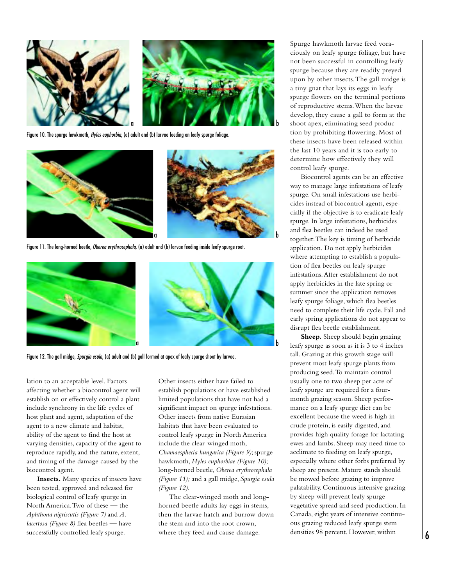

Figure 10. The spurge hawkmoth, Hyles euphorbia, (a) adult and (b) larvae feeding on leafy spurge foliage.



Figure 11. The long-horned beetle, Oberea erythrocephala, (a) adult and (b) larvae feeding inside leafy spurge root.



Figure 12. The gall midge, Spurgia esula, (a) adult and (b) gall formed at apex of leafy spurge shoot by larvae.

lation to an acceptable level. Factors affecting whether a biocontrol agent will establish on or effectively control a plant include synchrony in the life cycles of host plant and agent, adaptation of the agent to a new climate and habitat, ability of the agent to find the host at varying densities, capacity of the agent to reproduce rapidly, and the nature, extent, and timing of the damage caused by the biocontrol agent.

**Insects.** Many species of insects have been tested, approved and released for biological control of leafy spurge in North America. Two of these — the *Aphthona nigriscutis (Figure 7)* and *A. lacertosa (Figure 8)* flea beetles — have successfully controlled leafy spurge.

Other insects either have failed to establish populations or have established limited populations that have not had a significant impact on spurge infestations. Other insects from native Eurasian habitats that have been evaluated to control leafy spurge in North America include the clear-winged moth, *Chamaesphecia hungarica (Figure 9)*; spurge hawkmoth, *Hyles euphorbiae (Figure 10)*; long-horned beetle, *Oberea erythrocephala (Figure 11);* and a gall midge, *Spurgia esula (Figure 12)*.

The clear-winged moth and longhorned beetle adults lay eggs in stems, then the larvae hatch and burrow down the stem and into the root crown, where they feed and cause damage.

Spurge hawkmoth larvae feed voraciously on leafy spurge foliage, but have not been successful in controlling leafy spurge because they are readily preyed upon by other insects. The gall midge is a tiny gnat that lays its eggs in leafy spurge flowers on the terminal portions of reproductive stems. When the larvae develop, they cause a gall to form at the shoot apex, eliminating seed production by prohibiting flowering. Most of these insects have been released within the last 10 years and it is too early to determine how effectively they will control leafy spurge.

Biocontrol agents can be an effective way to manage large infestations of leafy spurge. On small infestations use herbicides instead of biocontrol agents, especially if the objective is to eradicate leafy spurge. In large infestations, herbicides and flea beetles can indeed be used together. The key is timing of herbicide application. Do not apply herbicides where attempting to establish a population of flea beetles on leafy spurge infestations. After establishment do not apply herbicides in the late spring or summer since the application removes leafy spurge foliage, which flea beetles need to complete their life cycle. Fall and early spring applications do not appear to disrupt flea beetle establishment.

**Sheep.** Sheep should begin grazing leafy spurge as soon as it is 3 to 4 inches tall. Grazing at this growth stage will prevent most leafy spurge plants from producing seed. To maintain control usually one to two sheep per acre of leafy spurge are required for a fourmonth grazing season. Sheep performance on a leafy spurge diet can be excellent because the weed is high in crude protein, is easily digested, and provides high quality forage for lactating ewes and lambs. Sheep may need time to acclimate to feeding on leafy spurge, especially where other forbs preferred by sheep are present. Mature stands should be mowed before grazing to improve palatability. Continuous intensive grazing by sheep will prevent leafy spurge vegetative spread and seed production. In Canada, eight years of intensive continuous grazing reduced leafy spurge stem densities 98 percent. However, within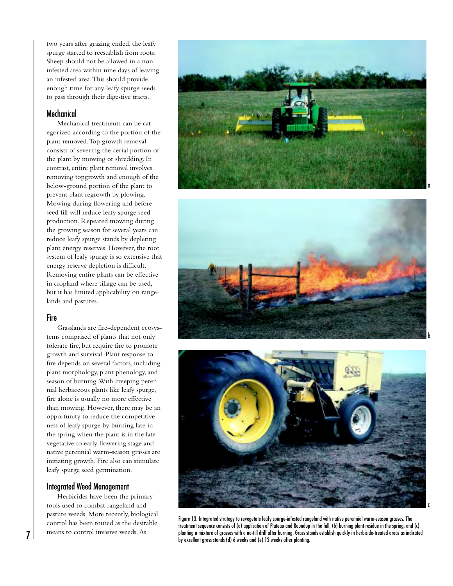two years after grazing ended, the leafy spurge started to reestablish from roots. Sheep should not be allowed in a noninfested area within nine days of leaving an infested area. This should provide enough time for any leafy spurge seeds to pass through their digestive tracts.

### Mechanical

Mechanical treatments can be categorized according to the portion of the plant removed. Top growth removal consists of severing the aerial portion of the plant by mowing or shredding. In contrast, entire plant removal involves removing topgrowth and enough of the below-ground portion of the plant to prevent plant regrowth by plowing. Mowing during flowering and before seed fill will reduce leafy spurge seed production. Repeated mowing during the growing season for several years can reduce leafy spurge stands by depleting plant energy reserves. However, the root system of leafy spurge is so extensive that energy reserve depletion is difficult. Removing entire plants can be effective in cropland where tillage can be used, but it has limited applicability on rangelands and pastures.

### Fire

Grasslands are fire-dependent ecosystems comprised of plants that not only tolerate fire, but require fire to promote growth and survival. Plant response to fire depends on several factors, including plant morphology, plant phenology, and season of burning. With creeping perennial herbaceous plants like leafy spurge, fire alone is usually no more effective than mowing. However, there may be an opportunity to reduce the competitiveness of leafy spurge by burning late in the spring when the plant is in the late vegetative to early flowering stage and native perennial warm-season grasses are initiating growth. Fire also can stimulate leafy spurge seed germination.

### Integrated Weed Management

Herbicides have been the primary tools used to combat rangeland and pasture weeds. More recently, biological control has been touted as the desirable means to control invasive weeds. As





b



Figure 13. Integrated strategy to revegetate leafy spurge-infested rangeland with native perennial warm-season grasses. The treatment sequence consists of (a) application of Plateau and Roundup in the fall, (b) burning plant residue in the spring, and (c) planting a mixture of grasses with a no-till drill after burning. Grass stands establish quickly in herbicide-treated areas as indicated planting a mixture of grasses with a no-till drill atter burning. Grass stands (d) 6 weeks and (e) 12 weeks after planting.<br>by excellent grass stands (d) 6 weeks and (e) 12 weeks after planting.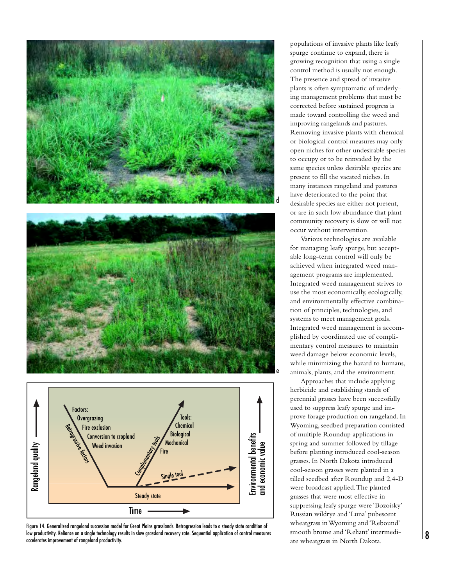

Figure 14. Generalized rangeland succession model for Great Plains grasslands. Retrogression leads to a steady state condition of low productivity. Reliance on a single technology results in slow grassland recovery rate. Sequential application of control measures

populations of invasive plants like leafy spurge continue to expand, there is growing recognition that using a single control method is usually not enough. The presence and spread of invasive plants is often symptomatic of underlying management problems that must be corrected before sustained progress is made toward controlling the weed and improving rangelands and pastures. Removing invasive plants with chemical or biological control measures may only open niches for other undesirable species to occupy or to be reinvaded by the same species unless desirable species are present to fill the vacated niches. In many instances rangeland and pastures have deteriorated to the point that desirable species are either not present, or are in such low abundance that plant community recovery is slow or will not occur without intervention.

Various technologies are available for managing leafy spurge, but acceptable long-term control will only be achieved when integrated weed management programs are implemented. Integrated weed management strives to use the most economically, ecologically, and environmentally effective combination of principles, technologies, and systems to meet management goals. Integrated weed management is accomplished by coordinated use of complimentary control measures to maintain weed damage below economic levels, while minimizing the hazard to humans, animals, plants, and the environment.

Approaches that include applying herbicide and establishing stands of perennial grasses have been successfully used to suppress leafy spurge and improve forage production on rangeland. In Wyoming, seedbed preparation consisted of multiple Roundup applications in spring and summer followed by tillage before planting introduced cool-season grasses. In North Dakota introduced cool-season grasses were planted in a tilled seedbed after Roundup and 2,4-D were broadcast applied. The planted grasses that were most effective in suppressing leafy spurge were 'Bozoisky' Russian wildrye and 'Luna' pubescent wheatgrass in Wyoming and 'Rebound' smooth brome and 'Reliant' intermediate wheatgrass in North Dakota.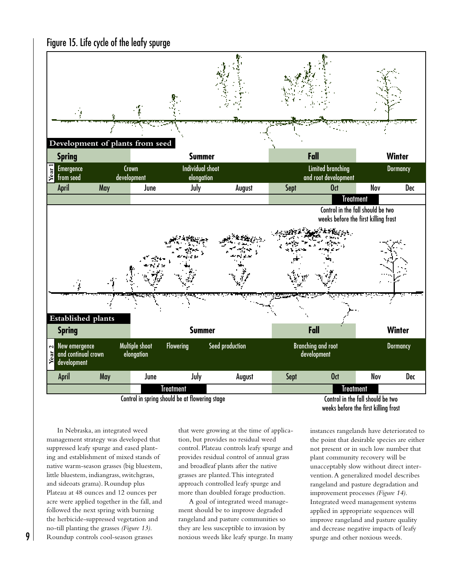



In Nebraska, an integrated weed management strategy was developed that suppressed leafy spurge and eased planting and establishment of mixed stands of native warm-season grasses (big bluestem, little bluestem, indiangrass, switchgrass, and sideoats grama). Roundup plus Plateau at 48 ounces and 12 ounces per acre were applied together in the fall, and followed the next spring with burning the herbicide-suppressed vegetation and no-till planting the grasses *(Figure 13)*. Roundup controls cool-season grasses

9

that were growing at the time of application, but provides no residual weed control. Plateau controls leafy spurge and provides residual control of annual grass and broadleaf plants after the native grasses are planted. This integrated approach controlled leafy spurge and more than doubled forage production.

A goal of integrated weed management should be to improve degraded rangeland and pasture communities so they are less susceptible to invasion by noxious weeds like leafy spurge. In many

instances rangelands have deteriorated to the point that desirable species are either not present or in such low number that plant community recovery will be unacceptably slow without direct intervention. A generalized model describes rangeland and pasture degradation and improvement processes *(Figure 14)*. Integrated weed management systems applied in appropriate sequences will improve rangeland and pasture quality and decrease negative impacts of leafy spurge and other noxious weeds.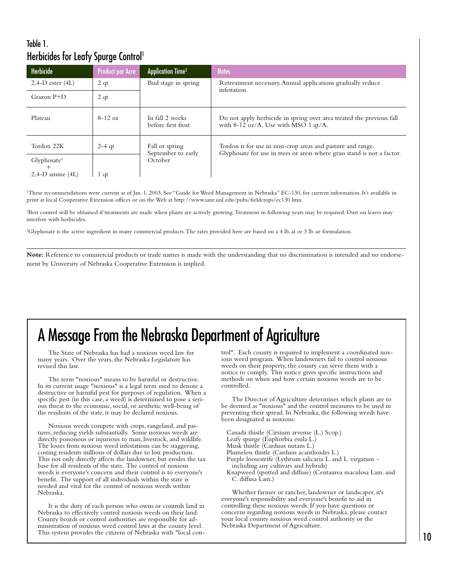### Table 1. Herbicides for Leafy Spurge Control<sup>1</sup>

| Herbicide                       | <b>Product per Acre</b> | <b>Application Time<sup>2</sup></b>             | <b>Notes</b>                                                                                                                          |
|---------------------------------|-------------------------|-------------------------------------------------|---------------------------------------------------------------------------------------------------------------------------------------|
| $2,4-D$ ester $(4L)$            | 2 <sub>qt</sub>         | Bud stage in spring                             | Retreatment necessary. Annual applications gradually reduce<br>infestation.                                                           |
| $Grazon P+D$                    | 2 <sub>qt</sub>         |                                                 |                                                                                                                                       |
| Plateau                         | $8-12$ oz               | In fall 2 weeks<br>before first frost           | Do not apply herbicide in spring over area treated the previous fall<br>with $8-12$ oz/A. Use with MSO 1 qt/A.                        |
| Tordon 22K                      | $2-4$ qt                | Fall or spring<br>September to early<br>October | Tordon is for use in non-crop areas and pasture and range.<br>Glyphosate for use in trees or areas where grass stand is not a factor. |
| Glyphosate <sup>3</sup><br>$^+$ |                         |                                                 |                                                                                                                                       |
| $2,4-D$ amine $(4L)$            | 1 qt                    |                                                 |                                                                                                                                       |

<sup>1</sup>These recommendations were current as of Jan. 1, 2003. See "Guide for Weed Management in Nebraska" EC-130, for current information. It's available in print at local Cooperative Extension offices or on the Web at http://www.ianr.unl.edu/pubs/fieldcrops/ec130.htm.

2 Best control will be obtained if treatments are made when plants are actively growing. Treatment in following years may be required. Dust on leaves may interfere with herbicides.

3 Glyphosate is the active ingredient in many commercial products. The rates provided here are based on a 4 lb. ai or 3 lb. ae formulation.

**Note:** Reference to commercial products or trade names is made with the understanding that no discrimination is intended and no endorsement by University of Nebraska Cooperative Extension is implied.

# A Message From the Nebraska Department of Agriculture

The State of Nebraska has had a noxious weed law for many years. Over the years, the Nebraska Legislature has revised this law.

The term "noxious" means to be harmful or destructive. In its current usage "noxious" is a legal term used to denote a destructive or harmful pest for purposes of regulation. When a specific pest (in this case, a weed) is determined to pose a serious threat to the economic, social, or aesthetic well-being of the residents of the state, it may be declared noxious.

Noxious weeds compete with crops, rangeland, and pastures, reducing yields substantially. Some noxious weeds are directly poisonous or injurious to man, livestock, and wildlife. The losses from noxious weed infestations can be staggering, costing residents millions of dollars due to lost production. This not only directly affects the landowner, but erodes the tax base for all residents of the state. The control of noxious weeds is everyone's concern and their control is to everyone's benefit. The support of all individuals within the state is needed and vital for the control of noxious weeds within Nebraska.

It is the duty of each person who owns or controls land in Nebraska to effectively control noxious weeds on their land. County boards or control authorities are responsible for administration of noxious weed control laws at the county level. This system provides the citizens of Nebraska with "local control". Each county is required to implement a coordinated noxious weed program. When landowners fail to control noxious weeds on their property, the county can serve them with a notice to comply. This notice gives specific instructions and methods on when and how certain noxious weeds are to be controlled.

The Director of Agriculture determines which plants are to be deemed as "noxious" and the control measures to be used in preventing their spread. In Nebraska, the following weeds have been designated as noxious:

Canada thistle (Cirsium arvense (L.) Scop.) Leafy spurge (Euphorbia esula L.) Musk thistle (Carduus nutans L.) Plumeless thistle (Carduus acanthoides L.) Purple loosestrife (Lythrum salicaria L. and L. virgatum including any cultivars and hybrids) Knapweed (spotted and diffuse) (Centaurea maculosa Lam. and C. diffusa Lam.)

Whether farmer or rancher, landowner or landscaper, it's everyone's responsibility and everyone's benefit to aid in controlling these noxious weeds. If you have questions or concerns regarding noxious weeds in Nebraska, please contact your local county noxious weed control authority or the Nebraska Department of Agriculture.